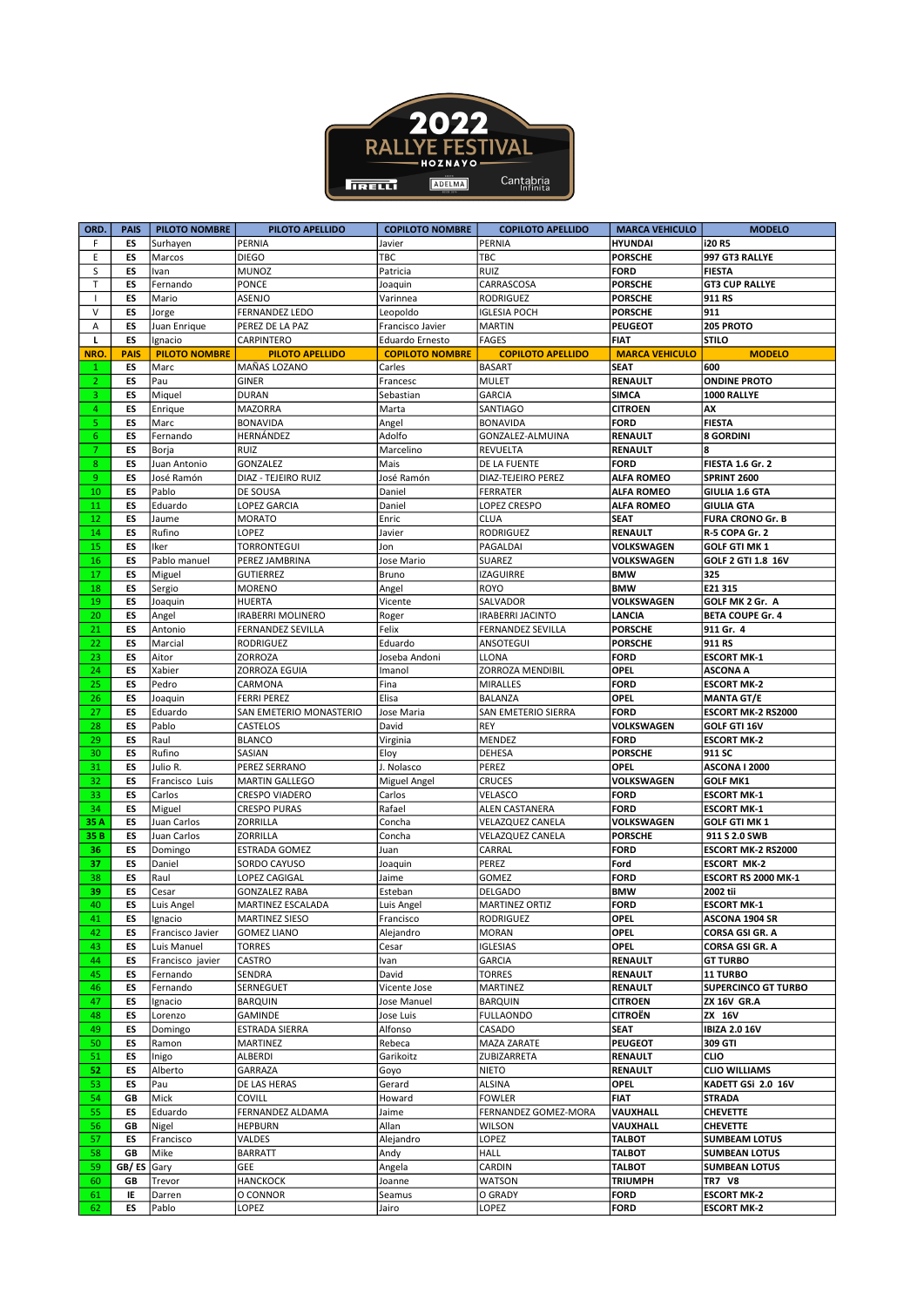

| ORD.           | <b>PAIS</b> | <b>PILOTO NOMBRE</b> | PILOTO APELLIDO                | <b>COPILOTO NOMBRE</b> | <b>COPILOTO APELLIDO</b> | <b>MARCA VEHICULO</b> | <b>MODELO</b>              |
|----------------|-------------|----------------------|--------------------------------|------------------------|--------------------------|-----------------------|----------------------------|
| F              | ES          | Surhayen             | PERNIA                         | Javier                 | PERNIA                   | <b>HYUNDAI</b>        | i20 R5                     |
| E              | ES          | Marcos               | <b>DIEGO</b>                   | TBC                    | TBC                      | <b>PORSCHE</b>        | 997 GT3 RALLYE             |
| S              | ES          | Ivan                 | <b>MUNOZ</b>                   | Patricia               | <b>RUIZ</b>              | <b>FORD</b>           | <b>FIESTA</b>              |
| $\mathsf T$    | ES          | Fernando             | <b>PONCE</b>                   | Joaquin                | CARRASCOSA               | <b>PORSCHE</b>        | <b>GT3 CUP RALLYE</b>      |
| $\mathbf{I}$   | ES          | Mario                | ASENJO                         | Varinnea               | <b>RODRIGUEZ</b>         | <b>PORSCHE</b>        | 911 RS                     |
| $\sf V$        | ES          | Jorge                | <b>FERNANDEZ LEDO</b>          | Leopoldo               | <b>IGLESIA POCH</b>      | <b>PORSCHE</b>        | 911                        |
|                | ES          |                      |                                |                        | <b>MARTIN</b>            | <b>PEUGEOT</b>        | 205 PROTO                  |
| Α              |             | Juan Enrique         | PEREZ DE LA PAZ                | Francisco Javier       |                          |                       |                            |
| L              | ES          | Ignacio              | <b>CARPINTERO</b>              | Eduardo Ernesto        | <b>FAGES</b>             | <b>FIAT</b>           | <b>STILO</b>               |
| NRO.           | <b>PAIS</b> | <b>PILOTO NOMBRE</b> | <b>PILOTO APELLIDO</b>         | <b>COPILOTO NOMBRE</b> | <b>COPILOTO APELLIDO</b> | <b>MARCA VEHICULO</b> | <b>MODELO</b>              |
| 1              | ES          | Marc                 | MAÑAS LOZANO                   | Carles                 | <b>BASART</b>            | <b>SEAT</b>           | 600                        |
| 2              | ES          | Pau                  | <b>GINER</b>                   | Francesc               | <b>MULET</b>             | RENAULT               | <b>ONDINE PROTO</b>        |
| 3.             | ES          | Miquel               | <b>DURAN</b>                   | Sebastian              | <b>GARCIA</b>            | <b>SIMCA</b>          | 1000 RALLYE                |
| 4              | ES          | Enrique              | <b>MAZORRA</b>                 | Marta                  | SANTIAGO                 | <b>CITROEN</b>        | AX                         |
| 5.             | ES          | Marc                 | <b>BONAVIDA</b>                | Angel                  | <b>BONAVIDA</b>          | <b>FORD</b>           | <b>FIESTA</b>              |
| 6              | ES          | Fernando             | HERNÁNDEZ                      | Adolfo                 | GONZALEZ-ALMUINA         | RENAULT               | <b>8 GORDINI</b>           |
| $\overline{7}$ | ES          | Borja                | RUIZ                           | Marcelino              | REVUELTA                 | <b>RENAULT</b>        | 8                          |
|                |             |                      |                                |                        |                          | <b>FORD</b>           |                            |
| 8              | ES          | Juan Antonio         | GONZALEZ                       | Mais                   | DE LA FUENTE             |                       | <b>FIESTA 1.6 Gr. 2</b>    |
| 9              | ES          | José Ramón           | DIAZ - TEJEIRO RUIZ            | José Ramón             | DIAZ-TEJEIRO PEREZ       | <b>ALFA ROMEO</b>     | <b>SPRINT 2600</b>         |
| 10             | ES          | Pablo                | DE SOUSA                       | Daniel                 | <b>FERRATER</b>          | <b>ALFA ROMEO</b>     | GIULIA 1.6 GTA             |
| 11             | ES          | Eduardo              | LOPEZ GARCIA                   | Daniel                 | LOPEZ CRESPO             | <b>ALFA ROMEO</b>     | <b>GIULIA GTA</b>          |
| 12             | ES          | Jaume                | <b>MORATO</b>                  | Enric                  | <b>CLUA</b>              | <b>SEAT</b>           | <b>FURA CRONO Gr. B</b>    |
| 14             | ES          | Rufino               | LOPEZ                          | Javier                 | RODRIGUEZ                | <b>RENAULT</b>        | R-5 COPA Gr. 2             |
| 15             | ES          | Iker                 | TORRONTEGUI                    | Jon                    | PAGALDAI                 | VOLKSWAGEN            | <b>GOLF GTI MK 1</b>       |
| 16             | ES          | Pablo manuel         | PEREZ JAMBRINA                 | Jose Mario             | SUAREZ                   | VOLKSWAGEN            | GOLF 2 GTI 1.8 16V         |
| 17             | ES          | Miguel               | <b>GUTIERREZ</b>               | Bruno                  | <b>IZAGUIRRE</b>         | <b>BMW</b>            | 325                        |
| 18             |             |                      |                                |                        |                          | <b>BMW</b>            |                            |
| 19             | ES          | Sergio               | <b>MORENO</b><br><b>HUERTA</b> | Angel                  | <b>ROYO</b>              | <b>VOLKSWAGEN</b>     | E21315                     |
|                | ES          | Joaquin              |                                | Vicente                | SALVADOR                 |                       | GOLF MK 2 Gr. A            |
| 20             | ES          | Angel                | <b>IRABERRI MOLINERO</b>       | Roger                  | <b>IRABERRI JACINTO</b>  | LANCIA                | <b>BETA COUPE Gr. 4</b>    |
| 21             | ES          | Antonio              | <b>FERNANDEZ SEVILLA</b>       | Felix                  | FERNANDEZ SEVILLA        | <b>PORSCHE</b>        | 911 Gr. 4                  |
| 22             | ES          | Marcial              | <b>RODRIGUEZ</b>               | Eduardo                | ANSOTEGUI                | <b>PORSCHE</b>        | 911 RS                     |
| 23             | ES          | Aitor                | ZORROZA                        | Joseba Andoni          | LLONA                    | <b>FORD</b>           | <b>ESCORT MK-1</b>         |
| 24             | ES          | Xabier               | ZORROZA EGUIA                  | Imanol                 | ZORROZA MENDIBIL         | <b>OPEL</b>           | <b>ASCONA A</b>            |
| 25             | ES          | Pedro                | CARMONA                        | Fina                   | MIRALLES                 | <b>FORD</b>           | <b>ESCORT MK-2</b>         |
| 26             | ES          | Joaquin              | <b>FERRI PEREZ</b>             | Elisa                  | <b>BALANZA</b>           | <b>OPEL</b>           | <b>MANTA GT/E</b>          |
| 27             | ES          | Eduardo              | SAN EMETERIO MONASTERIO        | Jose Maria             | SAN EMETERIO SIERRA      | <b>FORD</b>           | ESCORT MK-2 RS2000         |
|                |             |                      |                                |                        |                          |                       |                            |
| 28             | ES          | Pablo                | CASTELOS                       | David                  | <b>REY</b>               | VOLKSWAGEN            | GOLF GTI 16V               |
| 29             | ES          | Raul                 | <b>BLANCO</b>                  | Virginia               | <b>MENDEZ</b>            | <b>FORD</b>           | <b>ESCORT MK-2</b>         |
| 30             | ES          | Rufino               | SASIAN                         | Eloy                   | <b>DEHESA</b>            | <b>PORSCHE</b>        | 911 SC                     |
| 31             | ES          | Julio R.             | PEREZ SERRANO                  | J. Nolasco             | PEREZ                    | <b>OPEL</b>           | <b>ASCONA I 2000</b>       |
| 32             | ES          | Francisco Luis       | <b>MARTIN GALLEGO</b>          | Miguel Angel           | <b>CRUCES</b>            | VOLKSWAGEN            | <b>GOLF MK1</b>            |
| 33             | ES          | Carlos               | CRESPO VIADERO                 | Carlos                 | VELASCO                  | <b>FORD</b>           | <b>ESCORT MK-1</b>         |
| 34             | ES          | Miguel               | <b>CRESPO PURAS</b>            | Rafael                 | ALEN CASTANERA           | <b>FORD</b>           | <b>ESCORT MK-1</b>         |
| 35 A           | ES          | Juan Carlos          | ZORRILLA                       | Concha                 | VELAZQUEZ CANELA         | VOLKSWAGEN            | <b>GOLF GTI MK 1</b>       |
| 35 B           | ES          | Juan Carlos          | ZORRILLA                       | Concha                 | VELAZQUEZ CANELA         | <b>PORSCHE</b>        | 911 S 2.0 SWB              |
| 36             | ES          | Domingo              | <b>ESTRADA GOMEZ</b>           | Juan                   | CARRAL                   | <b>FORD</b>           | ESCORT MK-2 RS2000         |
| 37             | ES          | Daniel               | SORDO CAYUSO                   | Joaquin                | PEREZ                    | Ford                  | <b>ESCORT MK-2</b>         |
| 38             | ES          | Raul                 | LOPEZ CAGIGAL                  | Jaime                  | GOMEZ                    | <b>FORD</b>           | ESCORT RS 2000 MK-1        |
|                |             |                      |                                |                        |                          |                       |                            |
| 39             | ES          | Cesar                | <b>GONZALEZ RABA</b>           | Esteban                | <b>DELGADO</b>           | <b>BMW</b>            | 2002 tii                   |
| 40             | ES          | Luis Angel           | MARTINEZ ESCALADA              | Luis Angel             | <b>MARTINEZ ORTIZ</b>    | <b>FORD</b>           | <b>ESCORT MK-1</b>         |
| 41             | ES          | Ignacio              | MARTINEZ SIESO                 | Francisco              | RODRIGUEZ                | <b>OPEL</b>           | ASCONA 1904 SR             |
| 42             | ES          | Francisco Javier     | <b>GOMEZ LIANO</b>             | Alejandro              | <b>MORAN</b>             | <b>OPEL</b>           | CORSA GSI GR. A            |
| 43             | ES          | Luis Manuel          | TORRES                         | Cesar                  | <b>IGLESIAS</b>          | <b>OPEL</b>           | CORSA GSI GR. A            |
| 44             | ES          | Francisco javier     | CASTRO                         | Ivan                   | GARCIA                   | RENAULT               | <b>GT TURBO</b>            |
| 45             | ES          | Fernando             | SENDRA                         | David                  | <b>TORRES</b>            | RENAULT               | 11 TURBO                   |
| 46             | ES          | Fernando             | SERNEGUET                      | Vicente Jose           | MARTINEZ                 | RENAULT               | <b>SUPERCINCO GT TURBO</b> |
| 47             | ES          | Ignacio              | <b>BARQUIN</b>                 | Jose Manuel            | <b>BARQUIN</b>           | <b>CITROEN</b>        | <b>ZX 16V GR.A</b>         |
| 48             | ES          | Lorenzo              | GAMINDE                        | Jose Luis              | <b>FULLAONDO</b>         | <b>CITROËN</b>        | ZX 16V                     |
|                |             |                      |                                |                        |                          | <b>SEAT</b>           |                            |
| 49             | ES          | Domingo              | ESTRADA SIERRA                 | Alfonso                | CASADO                   |                       | <b>IBIZA 2.0 16V</b>       |
| 50             | ES          | Ramon                | <b>MARTINEZ</b>                | Rebeca                 | <b>MAZA ZARATE</b>       | <b>PEUGEOT</b>        | 309 GTI                    |
| 51             | ES          | Inigo                | ALBERDI                        | Garikoitz              | ZUBIZARRETA              | RENAULT               | <b>CLIO</b>                |
| 52             | ES          | Alberto              | GARRAZA                        | Goyo                   | NIETO                    | RENAULT               | <b>CLIO WILLIAMS</b>       |
| 53             | ES          | Pau                  | DE LAS HERAS                   | Gerard                 | <b>ALSINA</b>            | <b>OPEL</b>           | KADETT GSi 2.0 16V         |
| 54             | GB          | Mick                 | COVILL                         | Howard                 | <b>FOWLER</b>            | <b>FIAT</b>           | <b>STRADA</b>              |
| 55             | ES          | Eduardo              | FERNANDEZ ALDAMA               | Jaime                  | FERNANDEZ GOMEZ-MORA     | VAUXHALL              | <b>CHEVETTE</b>            |
| 56             | GB          | Nigel                | HEPBURN                        | Allan                  | WILSON                   | VAUXHALL              | <b>CHEVETTE</b>            |
| 57             | ES          | Francisco            | VALDES                         | Alejandro              | LOPEZ                    | <b>TALBOT</b>         | <b>SUMBEAM LOTUS</b>       |
| 58             | GB          | Mike                 | <b>BARRATT</b>                 | Andy                   | HALL                     | <b>TALBOT</b>         | <b>SUMBEAN LOTUS</b>       |
|                |             |                      |                                |                        | CARDIN                   | <b>TALBOT</b>         |                            |
| 59             | GB/ES       | Gary                 | GEE                            | Angela                 |                          |                       | <b>SUMBEAN LOTUS</b>       |
| 60             | GB          | Trevor               | <b>HANCKOCK</b>                | Joanne                 | <b>WATSON</b>            | <b>TRIUMPH</b>        | <b>TR7 V8</b>              |
| 61             | IE          | Darren               | O CONNOR                       | Seamus                 | O GRADY                  | <b>FORD</b>           | <b>ESCORT MK-2</b>         |
| 62             | ES          | Pablo                | LOPEZ                          | Jairo                  | LOPEZ                    | <b>FORD</b>           | <b>ESCORT MK-2</b>         |